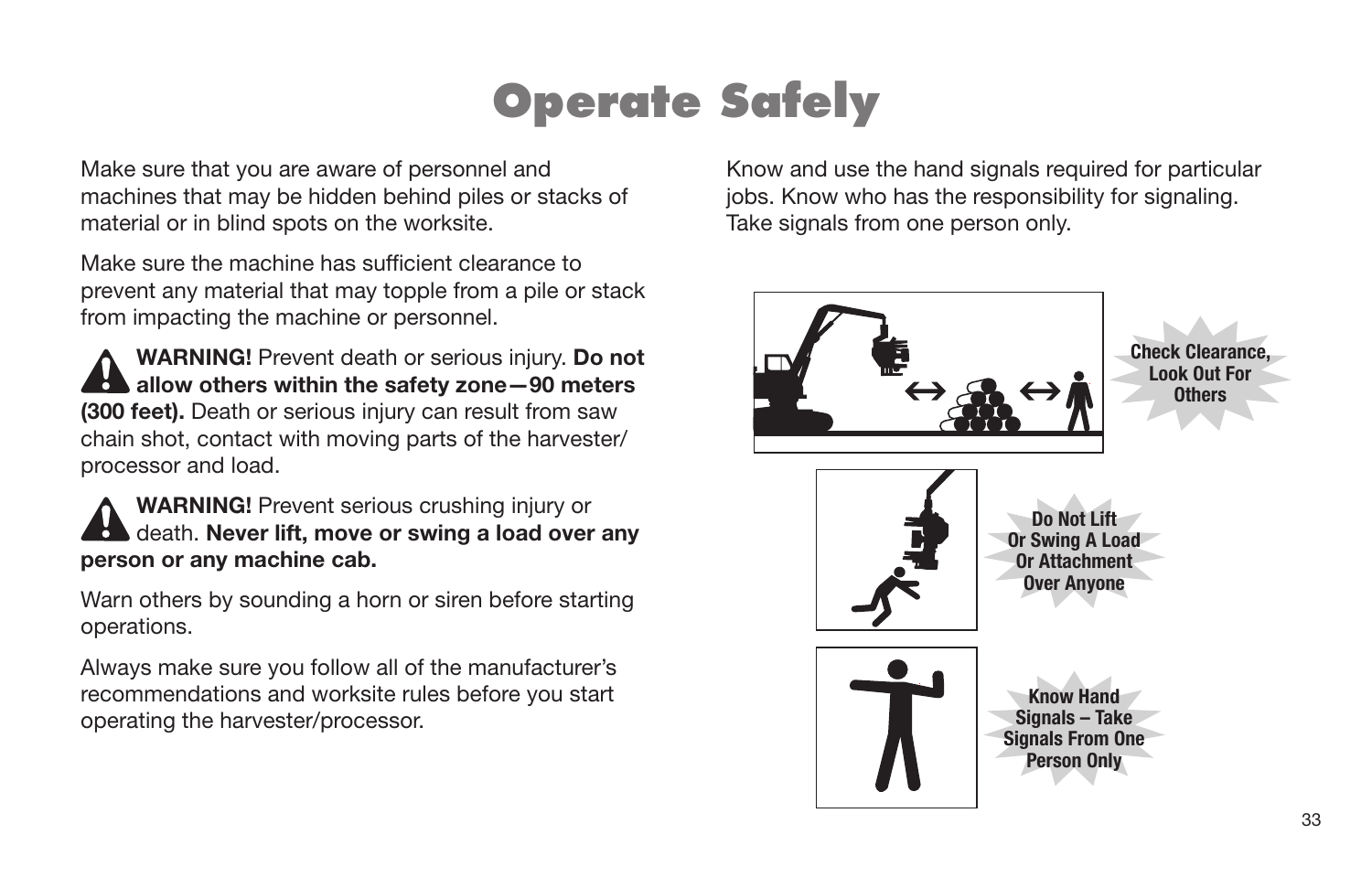### **Operate Safely**

Make sure that you are aware of personnel and machines that may be hidden behind piles or stacks of material or in blind spots on the worksite.

Make sure the machine has sufficient clearance to prevent any material that may topple from a pile or stack from impacting the machine or personnel.

**WARNING!** Prevent death or serious injury. **Do not allow others within the safety zone -90 meters (300 feet).** Death or serious injury can result from saw chain shot, contact with moving parts of the harvester/ processor and load.

**WARNING!** Prevent serious crushing injury or death. **Never lift, move or swing a load over any person or any machine cab.**

Warn others by sounding a horn or siren before starting operations.

Always make sure you follow all of the manufacturer's recommendations and worksite rules before you start operating the harvester/processor.

Know and use the hand signals required for particular jobs. Know who has the responsibility for signaling. Take signals from one person only.

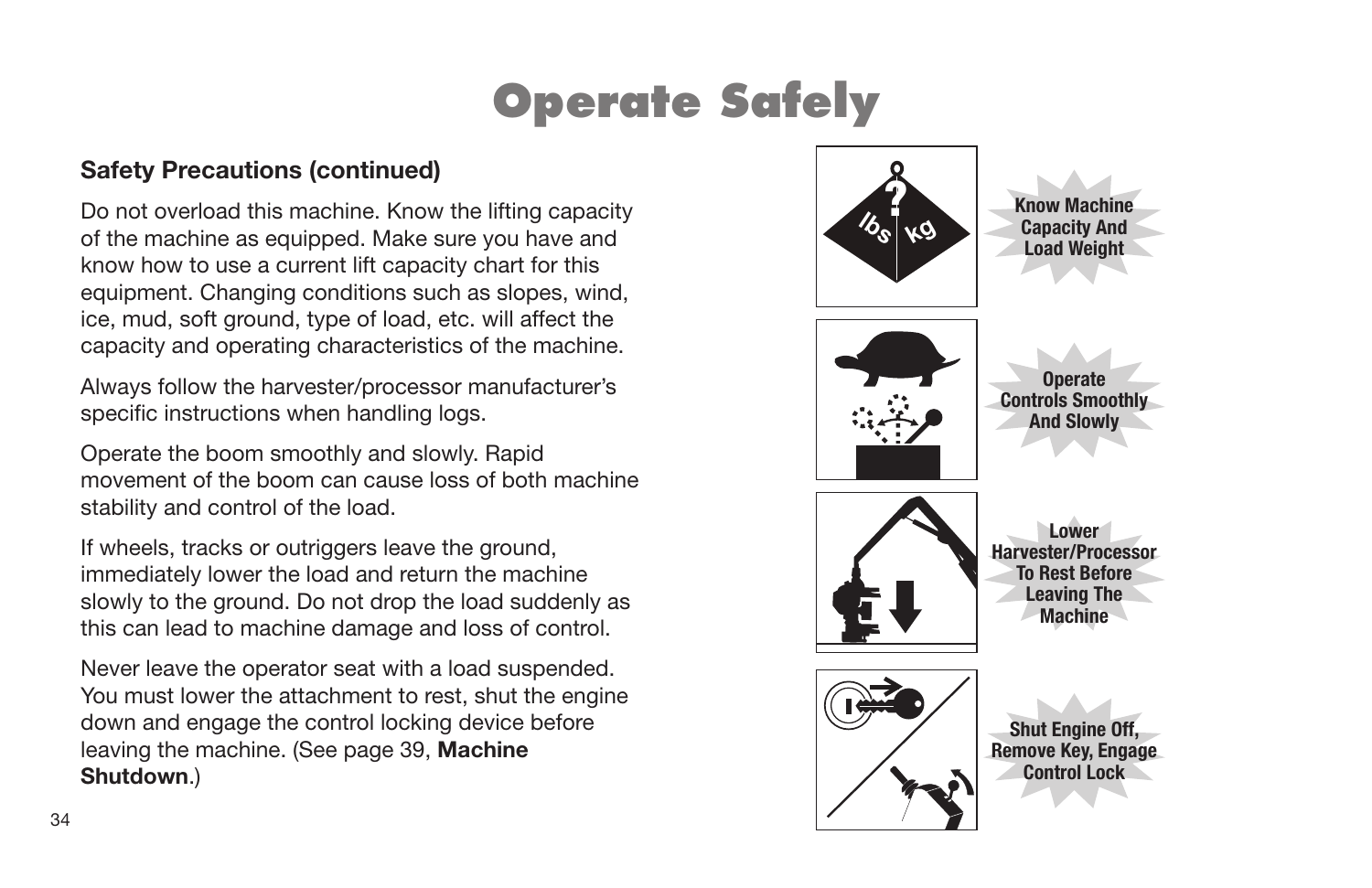# **Operate Safely**

#### **Safety Precautions (continued)**

Do not overload this machine. Know the lifting capacity of the machine as equipped. Make sure you have and know how to use a current lift capacity chart for this equipment. Changing conditions such as slopes, wind, ice, mud, soft ground, type of load, etc. will affect the capacity and operating characteristics of the machine.

Always follow the harvester/processor manufacturer's specific instructions when handling logs.

Operate the boom smoothly and slowly. Rapid movement of the boom can cause loss of both machine stability and control of the load.

If wheels, tracks or outriggers leave the ground, immediately lower the load and return the machine slowly to the ground. Do not drop the load suddenly as this can lead to machine damage and loss of control.

Never leave the operator seat with a load suspended. You must lower the attachment to rest, shut the engine down and engage the control locking device before leaving the machine. (See page 39, **Machine Shutdown**.)